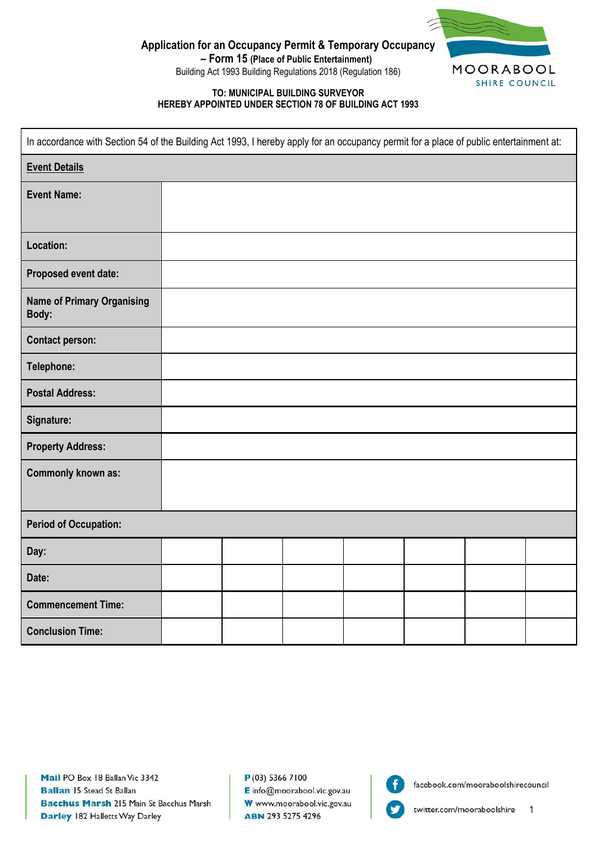

SHIRE COUNCIL

**Application for an Occupancy Permit & Temporary Occupancy**

**– Form 15 (Place of Public Entertainment)** Building Act 1993 Building Regulations 2018 (Regulation 186)

### **TO: MUNICIPAL BUILDING SURVEYOR HEREBY APPOINTED UNDER SECTION 78 OF BUILDING ACT 1993**

| In accordance with Section 54 of the Building Act 1993, I hereby apply for an occupancy permit for a place of public entertainment at: |  |  |  |  |  |
|----------------------------------------------------------------------------------------------------------------------------------------|--|--|--|--|--|
| <b>Event Details</b>                                                                                                                   |  |  |  |  |  |
| <b>Event Name:</b>                                                                                                                     |  |  |  |  |  |
|                                                                                                                                        |  |  |  |  |  |
| Location:                                                                                                                              |  |  |  |  |  |
| Proposed event date:                                                                                                                   |  |  |  |  |  |
| <b>Name of Primary Organising</b><br>Body:                                                                                             |  |  |  |  |  |
| <b>Contact person:</b>                                                                                                                 |  |  |  |  |  |
| Telephone:                                                                                                                             |  |  |  |  |  |
| <b>Postal Address:</b>                                                                                                                 |  |  |  |  |  |
| Signature:                                                                                                                             |  |  |  |  |  |
| <b>Property Address:</b>                                                                                                               |  |  |  |  |  |
| <b>Commonly known as:</b>                                                                                                              |  |  |  |  |  |
|                                                                                                                                        |  |  |  |  |  |
| <b>Period of Occupation:</b>                                                                                                           |  |  |  |  |  |
| Day:                                                                                                                                   |  |  |  |  |  |
| Date:                                                                                                                                  |  |  |  |  |  |
| <b>Commencement Time:</b>                                                                                                              |  |  |  |  |  |
| <b>Conclusion Time:</b>                                                                                                                |  |  |  |  |  |

 $P(03)$  5366 7100 E info@moorabool.vic.gov.au W www.moorabool.vic.gov.au ABN 293 5275 4296



facebook.com/mooraboolshirecouncil

1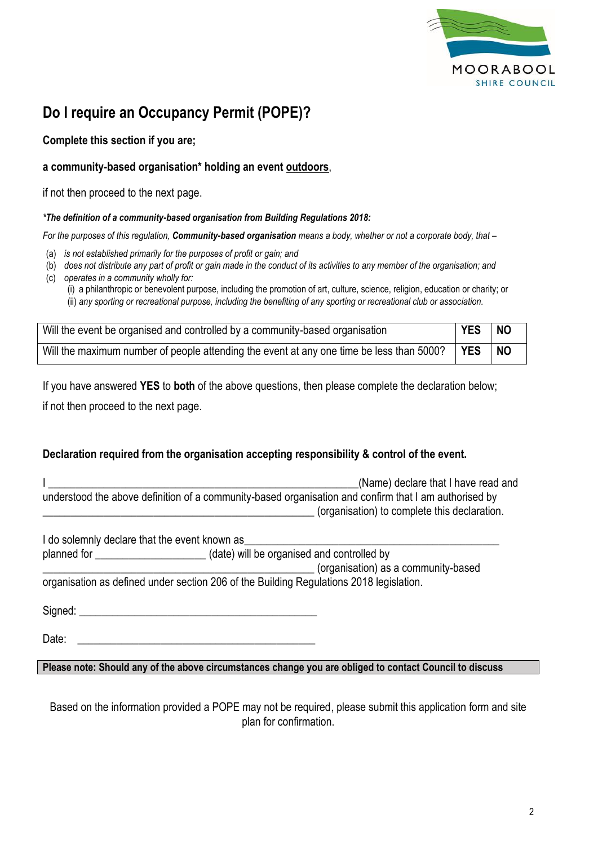

# **Do I require an Occupancy Permit (POPE)?**

# **Complete this section if you are;**

# **a community-based organisation\* holding an event outdoors**,

if not then proceed to the next page.

## *\*The definition of a community-based organisation from Building Regulations 2018:*

*For the purposes of this regulation, Community-based organisation means a body, whether or not a corporate body, that –*

- (a) *is not established primarily for the purposes of profit or gain; and*
- (b) *does not distribute any part of profit or gain made in the conduct of its activities to any member of the organisation; and*
- (c) *operates in a community wholly for:*
	- (i) a philanthropic or benevolent purpose, including the promotion of art, culture, science, religion, education or charity; or (ii) *any sporting or recreational purpose, including the benefiting of any sporting or recreational club or association.*

| Will the event be organised and controlled by a community-based organisation             | <b>YES</b> | <b>NO</b> |
|------------------------------------------------------------------------------------------|------------|-----------|
| Will the maximum number of people attending the event at any one time be less than 5000? | <b>YES</b> | <b>NO</b> |

If you have answered **YES** to **both** of the above questions, then please complete the declaration below; if not then proceed to the next page.

# **Declaration required from the organisation accepting responsibility & control of the event.**

|                                                                                                       |                                              | (Name) declare that I have read and |
|-------------------------------------------------------------------------------------------------------|----------------------------------------------|-------------------------------------|
| understood the above definition of a community-based organisation and confirm that I am authorised by |                                              |                                     |
|                                                                                                       | (organisation) to complete this declaration. |                                     |

| I do solemnly declare that the event known as             |                                                                                         |
|-----------------------------------------------------------|-----------------------------------------------------------------------------------------|
| (date) will be organised and controlled by<br>planned for |                                                                                         |
|                                                           | (organisation) as a community-based                                                     |
|                                                           | organisation as defined under section 206 of the Building Regulations 2018 legislation. |

Signed: \_\_\_\_\_\_\_\_\_\_\_\_\_\_\_\_\_\_\_\_\_\_\_\_\_\_\_\_\_\_\_\_\_\_\_\_\_\_\_\_\_\_\_

Date:

**Please note: Should any of the above circumstances change you are obliged to contact Council to discuss**

Based on the information provided a POPE may not be required, please submit this application form and site plan for confirmation.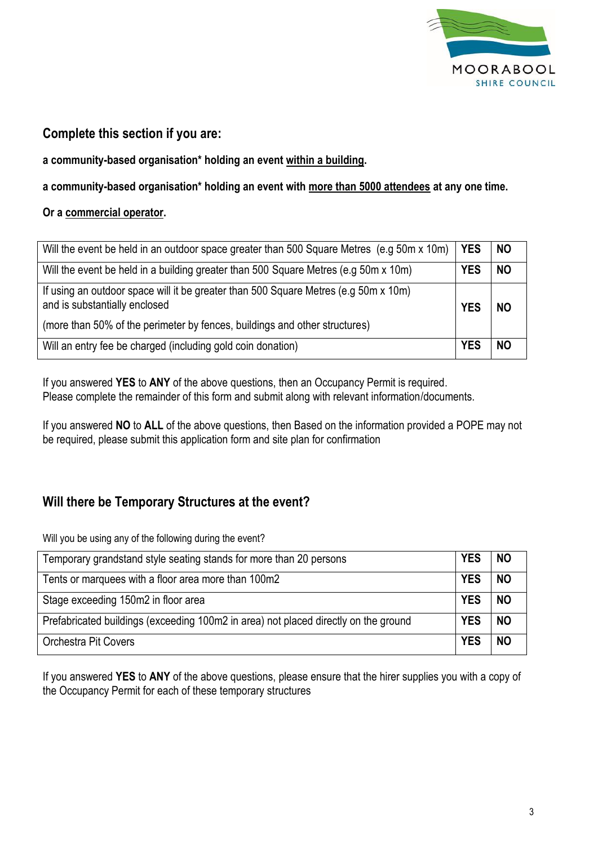

# **Complete this section if you are:**

**a community-based organisation\* holding an event within a building.**

**a community-based organisation\* holding an event with more than 5000 attendees at any one time.**

## **Or a commercial operator.**

| Will the event be held in an outdoor space greater than 500 Square Metres (e.g 50m x 10m)                            | l YES      | I NO      |
|----------------------------------------------------------------------------------------------------------------------|------------|-----------|
| Will the event be held in a building greater than 500 Square Metres (e.g 50m x 10m)                                  | <b>YES</b> | <b>NO</b> |
| If using an outdoor space will it be greater than 500 Square Metres (e.g 50m x 10m)<br>and is substantially enclosed | <b>YES</b> | NC.       |
| (more than 50% of the perimeter by fences, buildings and other structures)                                           |            |           |
| Will an entry fee be charged (including gold coin donation)                                                          | <b>YES</b> | NC        |

If you answered **YES** to **ANY** of the above questions, then an Occupancy Permit is required. Please complete the remainder of this form and submit along with relevant information/documents.

If you answered **NO** to **ALL** of the above questions, then Based on the information provided a POPE may not be required, please submit this application form and site plan for confirmation

# **Will there be Temporary Structures at the event?**

Will you be using any of the following during the event?

| Temporary grandstand style seating stands for more than 20 persons                  | <b>YES</b> | <b>NO</b> |
|-------------------------------------------------------------------------------------|------------|-----------|
| Tents or marquees with a floor area more than 100m2                                 | <b>YES</b> | <b>NO</b> |
| Stage exceeding 150m2 in floor area                                                 | <b>YES</b> | <b>NO</b> |
| Prefabricated buildings (exceeding 100m2 in area) not placed directly on the ground | <b>YES</b> | <b>NO</b> |
| <b>Orchestra Pit Covers</b>                                                         | <b>YES</b> | <b>NO</b> |

If you answered **YES** to **ANY** of the above questions, please ensure that the hirer supplies you with a copy of the Occupancy Permit for each of these temporary structures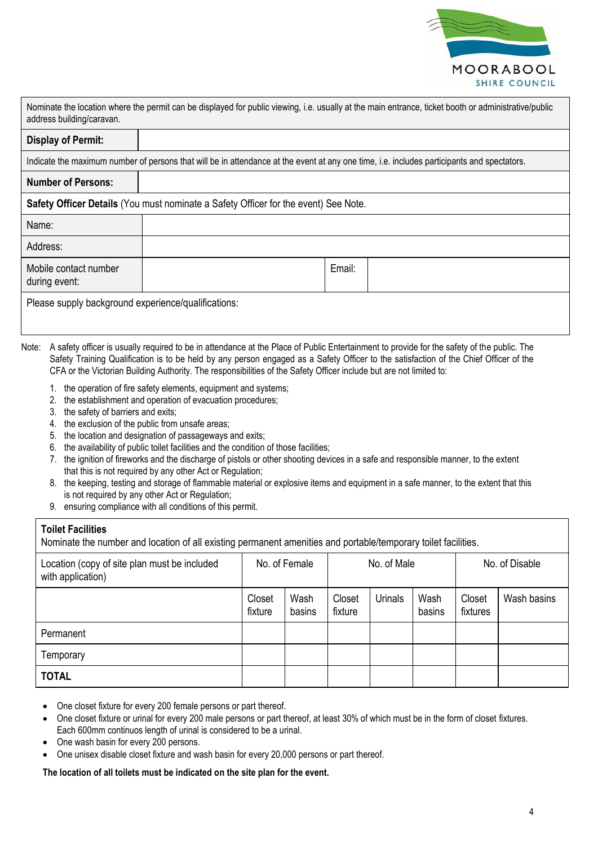

| Nominate the location where the permit can be displayed for public viewing, i.e. usually at the main entrance, ticket booth or administrative/public<br>address building/caravan. |        |  |  |  |
|-----------------------------------------------------------------------------------------------------------------------------------------------------------------------------------|--------|--|--|--|
| <b>Display of Permit:</b>                                                                                                                                                         |        |  |  |  |
| Indicate the maximum number of persons that will be in attendance at the event at any one time, i.e. includes participants and spectators.                                        |        |  |  |  |
| <b>Number of Persons:</b>                                                                                                                                                         |        |  |  |  |
| Safety Officer Details (You must nominate a Safety Officer for the event) See Note.                                                                                               |        |  |  |  |
| Name:                                                                                                                                                                             |        |  |  |  |
| Address:                                                                                                                                                                          |        |  |  |  |
| Mobile contact number<br>during event:                                                                                                                                            | Email: |  |  |  |
| Please supply background experience/qualifications:                                                                                                                               |        |  |  |  |

- Note: A safety officer is usually required to be in attendance at the Place of Public Entertainment to provide for the safety of the public. The Safety Training Qualification is to be held by any person engaged as a Safety Officer to the satisfaction of the Chief Officer of the CFA or the Victorian Building Authority. The responsibilities of the Safety Officer include but are not limited to:
	- 1. the operation of fire safety elements, equipment and systems;
	- 2. the establishment and operation of evacuation procedures;
	- 3. the safety of barriers and exits;
	- 4. the exclusion of the public from unsafe areas;
	- 5. the location and designation of passageways and exits;
	- 6. the availability of public toilet facilities and the condition of those facilities;
	- 7. the ignition of fireworks and the discharge of pistols or other shooting devices in a safe and responsible manner, to the extent that this is not required by any other Act or Regulation;
	- 8. the keeping, testing and storage of flammable material or explosive items and equipment in a safe manner, to the extent that this is not required by any other Act or Regulation;
	- 9. ensuring compliance with all conditions of this permit.

#### **Toilet Facilities**

Nominate the number and location of all existing permanent amenities and portable/temporary toilet facilities.

| Location (copy of site plan must be included<br>with application) | No. of Female     |                | No. of Male       |                |                | No. of Disable     |             |
|-------------------------------------------------------------------|-------------------|----------------|-------------------|----------------|----------------|--------------------|-------------|
|                                                                   | Closet<br>fixture | Wash<br>basins | Closet<br>fixture | <b>Urinals</b> | Wash<br>basins | Closet<br>fixtures | Wash basins |
| Permanent                                                         |                   |                |                   |                |                |                    |             |
| Temporary                                                         |                   |                |                   |                |                |                    |             |
| <b>TOTAL</b>                                                      |                   |                |                   |                |                |                    |             |

- One closet fixture for every 200 female persons or part thereof.
- One closet fixture or urinal for every 200 male persons or part thereof, at least 30% of which must be in the form of closet fixtures. Each 600mm continuos length of urinal is considered to be a urinal.
- One wash basin for every 200 persons.
- One unisex disable closet fixture and wash basin for every 20,000 persons or part thereof.

#### **The location of all toilets must be indicated on the site plan for the event.**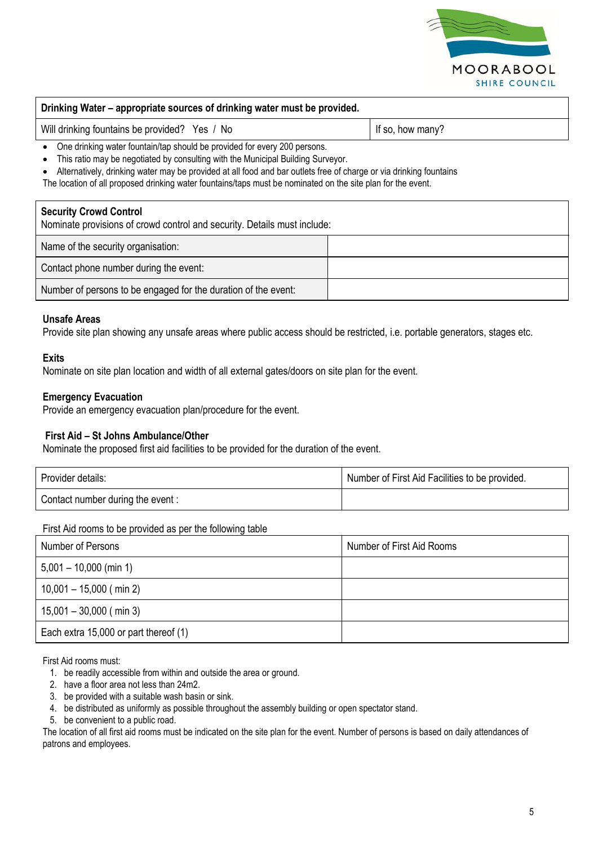

#### **Drinking Water – appropriate sources of drinking water must be provided.**

Will drinking fountains be provided? Yes / No If so, how many?

• One drinking water fountain/tap should be provided for every 200 persons.

• This ratio may be negotiated by consulting with the Municipal Building Surveyor.

• Alternatively, drinking water may be provided at all food and bar outlets free of charge or via drinking fountains

The location of all proposed drinking water fountains/taps must be nominated on the site plan for the event.

#### **Security Crowd Control**

Nominate provisions of crowd control and security. Details must include:

| Name of the security organisation:                             |  |
|----------------------------------------------------------------|--|
| Contact phone number during the event:                         |  |
| Number of persons to be engaged for the duration of the event: |  |

## **Unsafe Areas**

Provide site plan showing any unsafe areas where public access should be restricted, i.e. portable generators, stages etc.

#### **Exits**

Nominate on site plan location and width of all external gates/doors on site plan for the event.

## **Emergency Evacuation**

Provide an emergency evacuation plan/procedure for the event.

### **First Aid – St Johns Ambulance/Other**

Nominate the proposed first aid facilities to be provided for the duration of the event.

| Provider details:                | Number of First Aid Facilities to be provided. |
|----------------------------------|------------------------------------------------|
| Contact number during the event: |                                                |

#### First Aid rooms to be provided as per the following table

| Number of Persons                     | Number of First Aid Rooms |
|---------------------------------------|---------------------------|
| $5,001 - 10,000$ (min 1)              |                           |
| $10,001 - 15,000$ (min 2)             |                           |
| $15,001 - 30,000$ (min 3)             |                           |
| Each extra 15,000 or part thereof (1) |                           |

First Aid rooms must:

- 1. be readily accessible from within and outside the area or ground.
- 2. have a floor area not less than 24m2.
- 3. be provided with a suitable wash basin or sink.
- 4. be distributed as uniformly as possible throughout the assembly building or open spectator stand.
- 5. be convenient to a public road.

The location of all first aid rooms must be indicated on the site plan for the event. Number of persons is based on daily attendances of patrons and employees.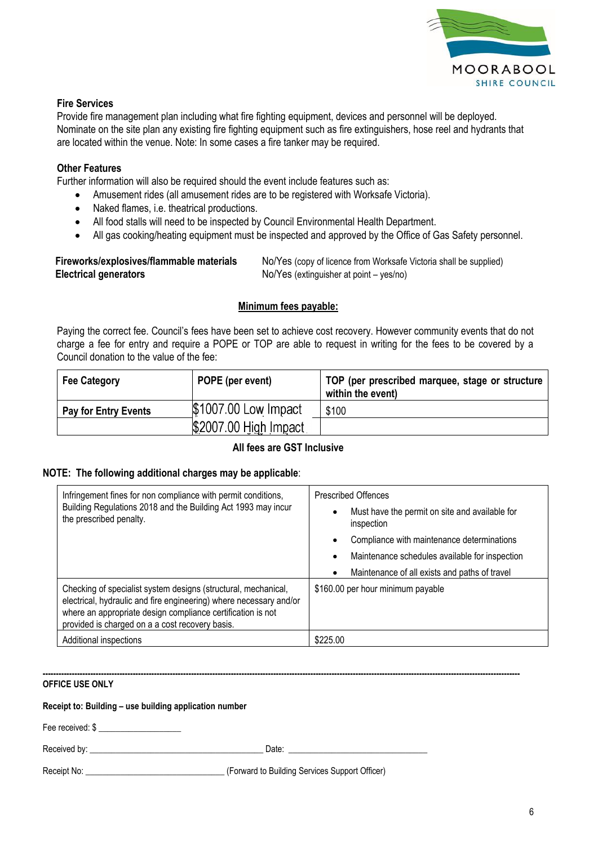

## **Fire Services**

Provide fire management plan including what fire fighting equipment, devices and personnel will be deployed. Nominate on the site plan any existing fire fighting equipment such as fire extinguishers, hose reel and hydrants that are located within the venue. Note: In some cases a fire tanker may be required.

## **Other Features**

Further information will also be required should the event include features such as:

- Amusement rides (all amusement rides are to be registered with Worksafe Victoria).
- Naked flames, i.e. theatrical productions.
- All food stalls will need to be inspected by Council Environmental Health Department.
- All gas cooking/heating equipment must be inspected and approved by the Office of Gas Safety personnel.

| Fireworks/explosives/flammable materials | No/Yes (copy of licence from Worksafe Victoria shall be supplied) |
|------------------------------------------|-------------------------------------------------------------------|
| <b>Electrical generators</b>             | No/Yes (extinguisher at point – yes/no)                           |

## **Minimum fees payable:**

Paying the correct fee. Council's fees have been set to achieve cost recovery. However community events that do not charge a fee for entry and require a POPE or TOP are able to request in writing for the fees to be covered by a Council donation to the value of the fee:

| <b>Fee Category</b>         | POPE (per event)      | TOP (per prescribed marquee, stage or structure<br>within the event) |
|-----------------------------|-----------------------|----------------------------------------------------------------------|
| <b>Pay for Entry Events</b> | \$1007.00 Low Impact  | \$100                                                                |
|                             | \$2007.00 High Impact |                                                                      |

## **All fees are GST Inclusive**

## **NOTE: The following additional charges may be applicable**:

| Infringement fines for non compliance with permit conditions,<br>Building Regulations 2018 and the Building Act 1993 may incur<br>the prescribed penalty.                                                                                              | <b>Prescribed Offences</b><br>Must have the permit on site and available for<br>$\bullet$<br>inspection<br>Compliance with maintenance determinations<br>٠<br>Maintenance schedules available for inspection<br>$\bullet$<br>Maintenance of all exists and paths of travel<br>$\bullet$ |
|--------------------------------------------------------------------------------------------------------------------------------------------------------------------------------------------------------------------------------------------------------|-----------------------------------------------------------------------------------------------------------------------------------------------------------------------------------------------------------------------------------------------------------------------------------------|
| Checking of specialist system designs (structural, mechanical,<br>electrical, hydraulic and fire engineering) where necessary and/or<br>where an appropriate design compliance certification is not<br>provided is charged on a a cost recovery basis. | \$160.00 per hour minimum payable                                                                                                                                                                                                                                                       |
| Additional inspections                                                                                                                                                                                                                                 | \$225.00                                                                                                                                                                                                                                                                                |

#### **------------------------------------------------------------------------------------------------------------------------------------------------------------------------------------ OFFICE USE ONLY**

#### **Receipt to: Building – use building application number**

Fee received: \$ \_\_\_\_\_\_\_\_\_\_\_\_\_\_\_\_\_\_\_

Received by: \_\_\_\_\_\_\_\_\_\_\_\_\_\_\_\_\_\_\_\_\_\_\_\_\_\_\_\_\_\_\_\_\_\_\_\_\_\_\_\_ Date: \_\_\_\_\_\_\_\_\_\_\_\_\_\_\_\_\_\_\_\_\_\_\_\_\_\_\_\_\_\_\_\_

Receipt No: \_\_\_\_\_\_\_\_\_\_\_\_\_\_\_\_\_\_\_\_\_\_\_\_\_\_\_\_\_\_\_\_ (Forward to Building Services Support Officer)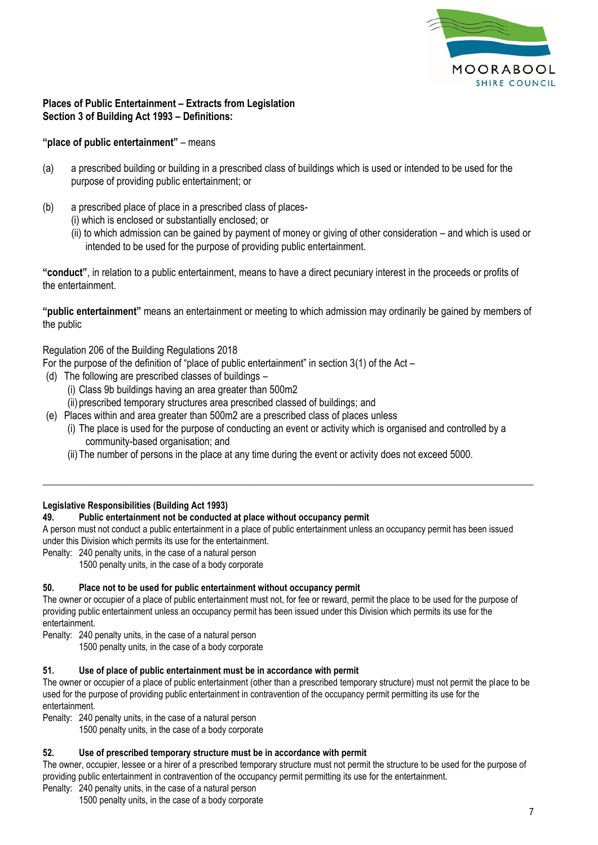

## **Places of Public Entertainment – Extracts from Legislation Section 3 of Building Act 1993 – Definitions:**

## **"place of public entertainment"** – means

- (a) a prescribed building or building in a prescribed class of buildings which is used or intended to be used for the purpose of providing public entertainment; or
- (b) a prescribed place of place in a prescribed class of places-
	- (i) which is enclosed or substantially enclosed; or
		- (ii) to which admission can be gained by payment of money or giving of other consideration and which is used or intended to be used for the purpose of providing public entertainment.

**"conduct"**, in relation to a public entertainment, means to have a direct pecuniary interest in the proceeds or profits of the entertainment.

**"public entertainment"** means an entertainment or meeting to which admission may ordinarily be gained by members of the public

Regulation 206 of the Building Regulations 2018

For the purpose of the definition of "place of public entertainment" in section 3(1) of the Act –

- (d) The following are prescribed classes of buildings
	- (i) Class 9b buildings having an area greater than 500m2
	- (ii) prescribed temporary structures area prescribed classed of buildings; and
- (e) Places within and area greater than 500m2 are a prescribed class of places unless
	- (i) The place is used for the purpose of conducting an event or activity which is organised and controlled by a community-based organisation; and

\_\_\_\_\_\_\_\_\_\_\_\_\_\_\_\_\_\_\_\_\_\_\_\_\_\_\_\_\_\_\_\_\_\_\_\_\_\_\_\_\_\_\_\_\_\_\_\_\_\_\_\_\_\_\_\_\_\_\_\_\_\_\_\_\_\_\_\_\_\_\_\_\_\_\_\_\_\_\_\_\_\_\_\_\_\_\_\_\_\_\_\_\_\_\_\_\_

(ii)The number of persons in the place at any time during the event or activity does not exceed 5000.

#### **Legislative Responsibilities (Building Act 1993)**

#### **49. Public entertainment not be conducted at place without occupancy permit**

A person must not conduct a public entertainment in a place of public entertainment unless an occupancy permit has been issued under this Division which permits its use for the entertainment.

- Penalty: 240 penalty units, in the case of a natural person
	- 1500 penalty units, in the case of a body corporate

#### **50. Place not to be used for public entertainment without occupancy permit**

The owner or occupier of a place of public entertainment must not, for fee or reward, permit the place to be used for the purpose of providing public entertainment unless an occupancy permit has been issued under this Division which permits its use for the entertainment.

Penalty: 240 penalty units, in the case of a natural person

1500 penalty units, in the case of a body corporate

#### **51. Use of place of public entertainment must be in accordance with permit**

The owner or occupier of a place of public entertainment (other than a prescribed temporary structure) must not permit the place to be used for the purpose of providing public entertainment in contravention of the occupancy permit permitting its use for the entertainment.

Penalty: 240 penalty units, in the case of a natural person

1500 penalty units, in the case of a body corporate

## **52. Use of prescribed temporary structure must be in accordance with permit**

The owner, occupier, lessee or a hirer of a prescribed temporary structure must not permit the structure to be used for the purpose of providing public entertainment in contravention of the occupancy permit permitting its use for the entertainment.

Penalty: 240 penalty units, in the case of a natural person

1500 penalty units, in the case of a body corporate